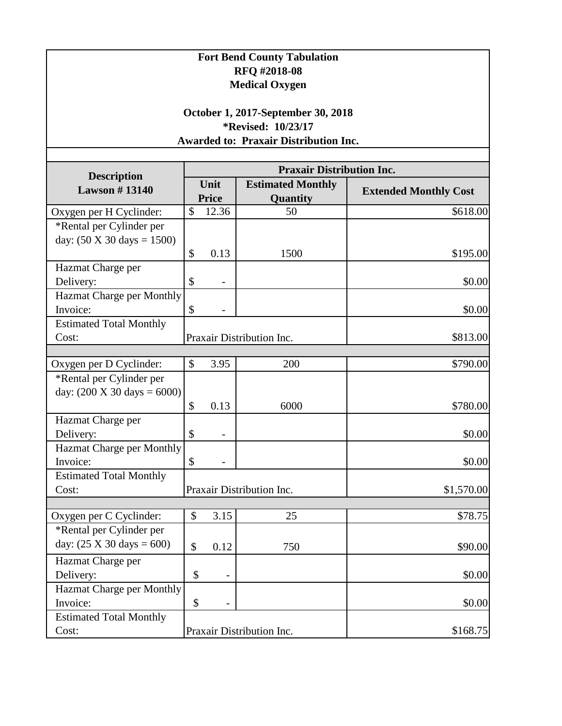| <b>Fort Bend County Tabulation</b><br>RFQ #2018-08<br><b>Medical Oxygen</b><br>October 1, 2017-September 30, 2018<br><i>*</i> Revised: 10/23/17<br><b>Awarded to: Praxair Distribution Inc.</b> |                           |                          |                                      |                              |  |  |  |
|-------------------------------------------------------------------------------------------------------------------------------------------------------------------------------------------------|---------------------------|--------------------------|--------------------------------------|------------------------------|--|--|--|
|                                                                                                                                                                                                 |                           |                          |                                      |                              |  |  |  |
| <b>Description</b><br><b>Lawson #13140</b>                                                                                                                                                      | Unit<br><b>Price</b>      |                          | <b>Estimated Monthly</b><br>Quantity | <b>Extended Monthly Cost</b> |  |  |  |
| Oxygen per H Cyclinder:                                                                                                                                                                         | \$                        | 12.36                    | 50                                   | \$618.00                     |  |  |  |
| *Rental per Cylinder per<br>day: $(50 X 30 \text{ days} = 1500)$                                                                                                                                |                           |                          |                                      |                              |  |  |  |
|                                                                                                                                                                                                 | \$                        | 0.13                     | 1500                                 | \$195.00                     |  |  |  |
| Hazmat Charge per<br>Delivery:                                                                                                                                                                  | \$                        |                          |                                      | \$0.00                       |  |  |  |
| <b>Hazmat Charge per Monthly</b><br>Invoice:                                                                                                                                                    | \$                        |                          |                                      | \$0.00                       |  |  |  |
| <b>Estimated Total Monthly</b><br>Cost:                                                                                                                                                         |                           |                          | Praxair Distribution Inc.            | \$813.00                     |  |  |  |
|                                                                                                                                                                                                 | \$                        | 3.95                     | 200                                  | \$790.00                     |  |  |  |
| Oxygen per D Cyclinder:<br>*Rental per Cylinder per                                                                                                                                             |                           |                          |                                      |                              |  |  |  |
| day: $(200 \text{ X } 30 \text{ days} = 6000)$                                                                                                                                                  | \$                        | 0.13                     | 6000                                 | \$780.00                     |  |  |  |
| Hazmat Charge per                                                                                                                                                                               |                           |                          |                                      |                              |  |  |  |
| Delivery:                                                                                                                                                                                       | \$                        |                          |                                      | \$0.00                       |  |  |  |
| <b>Hazmat Charge per Monthly</b><br>Invoice:                                                                                                                                                    | \$                        |                          |                                      | \$0.00                       |  |  |  |
| <b>Estimated Total Monthly</b><br>Cost:                                                                                                                                                         | Praxair Distribution Inc. |                          |                                      | \$1,570.00                   |  |  |  |
|                                                                                                                                                                                                 |                           |                          |                                      |                              |  |  |  |
| Oxygen per C Cyclinder:<br>*Rental per Cylinder per                                                                                                                                             | \$                        | 3.15                     | 25                                   | \$78.75                      |  |  |  |
| day: $(25 \text{ X } 30 \text{ days} = 600)$                                                                                                                                                    | \$                        | 0.12                     | 750                                  | \$90.00                      |  |  |  |
| Hazmat Charge per                                                                                                                                                                               |                           |                          |                                      |                              |  |  |  |
| Delivery:                                                                                                                                                                                       | \$                        | $\overline{\phantom{0}}$ |                                      | \$0.00                       |  |  |  |
| <b>Hazmat Charge per Monthly</b><br>Invoice:                                                                                                                                                    | \$                        | $\qquad \qquad -$        |                                      | \$0.00                       |  |  |  |
| <b>Estimated Total Monthly</b>                                                                                                                                                                  |                           |                          |                                      |                              |  |  |  |
| Cost:                                                                                                                                                                                           | Praxair Distribution Inc. |                          |                                      | \$168.75                     |  |  |  |